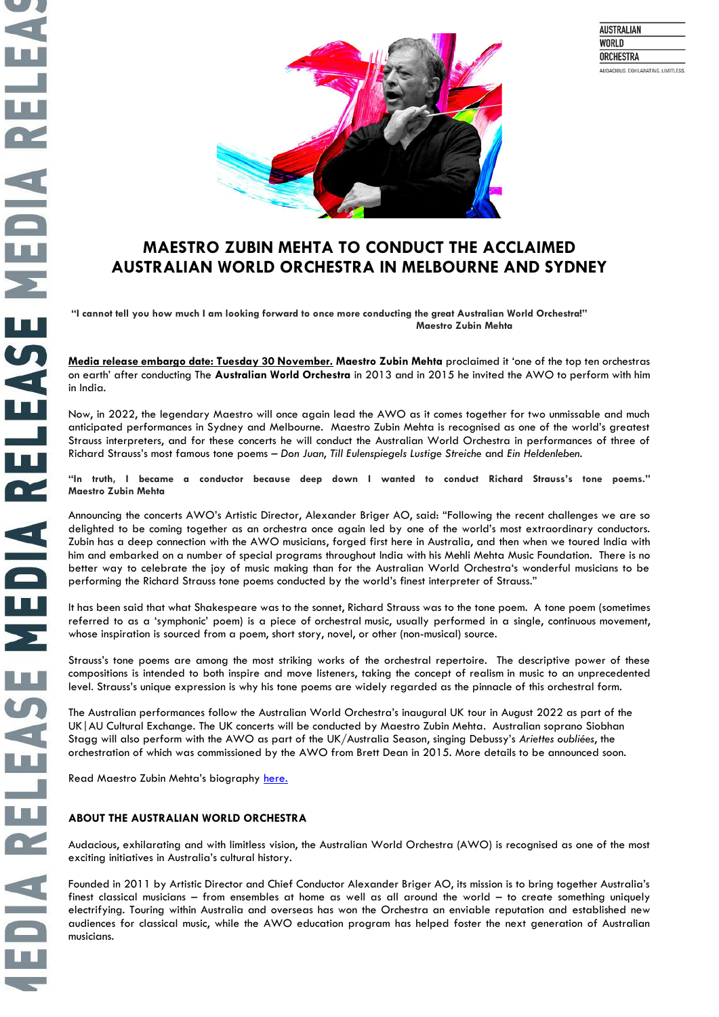



## **MAESTRO ZUBIN MEHTA TO CONDUCT THE ACCLAIMED AUSTRALIAN WORLD ORCHESTRA IN MELBOURNE AND SYDNEY**

**"I cannot tell you how much I am looking forward to once more conducting the great Australian World Orchestra!" Maestro Zubin Mehta**

**Media release embargo date: Tuesday 30 November. Maestro Zubin Mehta** proclaimed it 'one of the top ten orchestras on earth' after conducting The **Australian World Orchestra** in 2013 and in 2015 he invited the AWO to perform with him in India.

Now, in 2022, the legendary Maestro will once again lead the AWO as it comes together for two unmissable and much anticipated performances in Sydney and Melbourne. Maestro Zubin Mehta is recognised as one of the world's greatest Strauss interpreters, and for these concerts he will conduct the Australian World Orchestra in performances of three of Richard Strauss's most famous tone poems – *Don Juan*, *Till Eulenspiegels Lustige Streiche* and *Ein Heldenleben.* 

**"In truth, I became a conductor because deep down I wanted to conduct Richard Strauss's tone poems." Maestro Zubin Mehta**

Announcing the concerts AWO's Artistic Director, Alexander Briger AO, said: "Following the recent challenges we are so delighted to be coming together as an orchestra once again led by one of the world's most extraordinary conductors. Zubin has a deep connection with the AWO musicians, forged first here in Australia, and then when we toured India with him and embarked on a number of special programs throughout India with his Mehli Mehta Music Foundation. There is no better way to celebrate the joy of music making than for the Australian World Orchestra's wonderful musicians to be performing the Richard Strauss tone poems conducted by the world's finest interpreter of Strauss."

It has been said that what Shakespeare was to the sonnet, Richard Strauss was to the tone poem. A tone poem (sometimes referred to as a 'symphonic' poem) is a piece of orchestral music, usually performed in a single, continuous movement, whose inspiration is sourced from a [poem,](https://en.wikipedia.org/wiki/Poem) short story, [novel,](https://en.wikipedia.org/wiki/Novel) or other (non-musical) source.

Strauss's tone poems are among the most striking works of the orchestral repertoire. The descriptive power of these compositions is intended to both inspire and move listeners, taking the concept of [realism](https://en.wikipedia.org/wiki/Realism_(arts)) in music to an unprecedented level. Strauss's unique expression is why his tone poems are widely regarded as the pinnacle of this orchestral form.

The Australian performances follow the Australian World Orchestra's inaugural UK tour in August 2022 as part of the UK|AU Cultural Exchange. The UK concerts will be conducted by Maestro Zubin Mehta. Australian soprano Siobhan Stagg will also perform with the AWO as part of the UK/Australia Season, singing Debussy's *Ariettes oubliées*, the orchestration of which was commissioned by the AWO from Brett Dean in 2015. More details to be announced soon.

Read Maestro Zubin Mehta's biography [here.](http://www.zubinmehta.net/5.0.html)

## **ABOUT THE AUSTRALIAN WORLD ORCHESTRA**

Audacious, exhilarating and with limitless vision, the Australian World Orchestra (AWO) is recognised as one of the most exciting initiatives in Australia's cultural history.

Founded in 2011 by Artistic Director and Chief Conductor Alexander Briger AO, its mission is to bring together Australia's finest classical musicians – from ensembles at home as well as all around the world – to create something uniquely electrifying. Touring within Australia and overseas has won the Orchestra an enviable reputation and established new audiences for classical music, while the AWO education program has helped foster the next generation of Australian musicians.